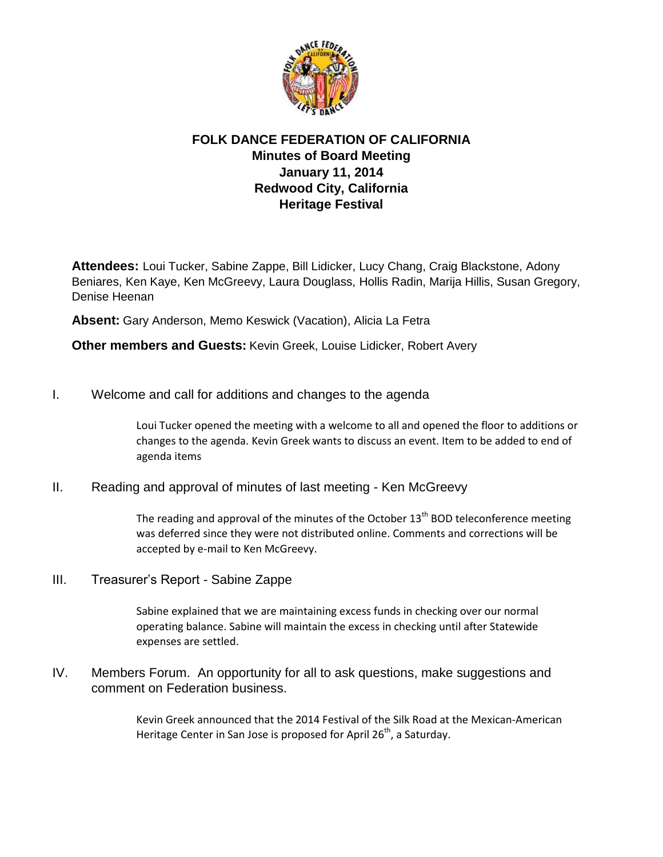

## **FOLK DANCE FEDERATION OF CALIFORNIA Minutes of Board Meeting January 11, 2014 Redwood City, California Heritage Festival**

**Attendees:** Loui Tucker, Sabine Zappe, Bill Lidicker, Lucy Chang, Craig Blackstone, Adony Beniares, Ken Kaye, Ken McGreevy, Laura Douglass, Hollis Radin, Marija Hillis, Susan Gregory, Denise Heenan

**Absent:** Gary Anderson, Memo Keswick (Vacation), Alicia La Fetra

**Other members and Guests:** Kevin Greek, Louise Lidicker, Robert Avery

I. Welcome and call for additions and changes to the agenda

Loui Tucker opened the meeting with a welcome to all and opened the floor to additions or changes to the agenda. Kevin Greek wants to discuss an event. Item to be added to end of agenda items

II. Reading and approval of minutes of last meeting - Ken McGreevy

The reading and approval of the minutes of the October  $13<sup>th</sup>$  BOD teleconference meeting was deferred since they were not distributed online. Comments and corrections will be accepted by e-mail to Ken McGreevy.

III. Treasurer's Report - Sabine Zappe

Sabine explained that we are maintaining excess funds in checking over our normal operating balance. Sabine will maintain the excess in checking until after Statewide expenses are settled.

IV. Members Forum. An opportunity for all to ask questions, make suggestions and comment on Federation business.

> Kevin Greek announced that the 2014 Festival of the Silk Road at the Mexican-American Heritage Center in San Jose is proposed for April  $26<sup>th</sup>$ , a Saturday.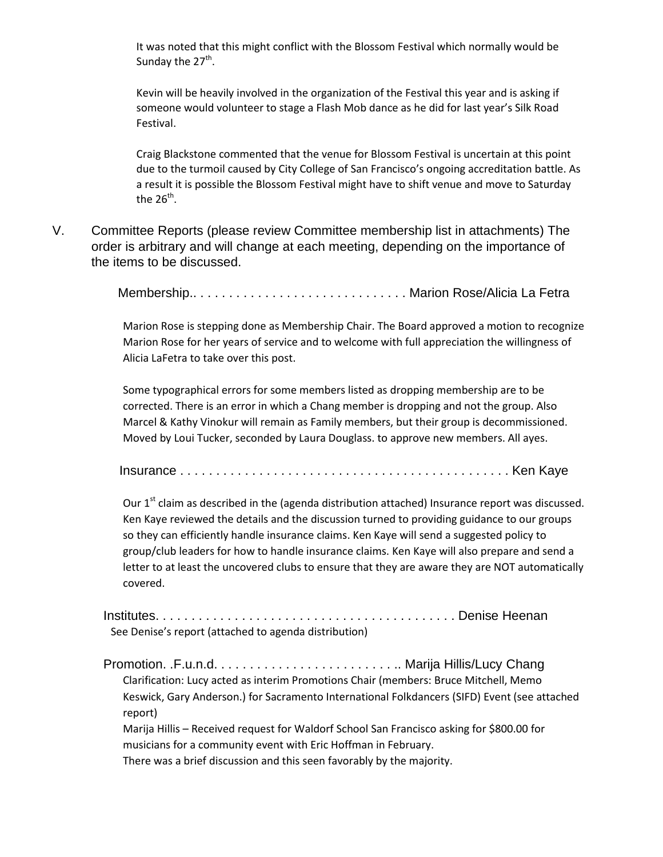It was noted that this might conflict with the Blossom Festival which normally would be Sunday the 27<sup>th</sup>.

Kevin will be heavily involved in the organization of the Festival this year and is asking if someone would volunteer to stage a Flash Mob dance as he did for last year's Silk Road Festival.

Craig Blackstone commented that the venue for Blossom Festival is uncertain at this point due to the turmoil caused by City College of San Francisco's ongoing accreditation battle. As a result it is possible the Blossom Festival might have to shift venue and move to Saturday the 26<sup>th</sup>.

V. Committee Reports (please review Committee membership list in attachments) The order is arbitrary and will change at each meeting, depending on the importance of the items to be discussed.

Membership.. . . . . . . . . . . . . . . . . . . . . . . . . . . . . . Marion Rose/Alicia La Fetra

Marion Rose is stepping done as Membership Chair. The Board approved a motion to recognize Marion Rose for her years of service and to welcome with full appreciation the willingness of Alicia LaFetra to take over this post.

Some typographical errors for some members listed as dropping membership are to be corrected. There is an error in which a Chang member is dropping and not the group. Also Marcel & Kathy Vinokur will remain as Family members, but their group is decommissioned. Moved by Loui Tucker, seconded by Laura Douglass. to approve new members. All ayes.

Insurance . . . . . . . . . . . . . . . . . . . . . . . . . . . . . . . . . . . . . . . . . . . . . . Ken Kaye

Our 1<sup>st</sup> claim as described in the (agenda distribution attached) Insurance report was discussed. Ken Kaye reviewed the details and the discussion turned to providing guidance to our groups so they can efficiently handle insurance claims. Ken Kaye will send a suggested policy to group/club leaders for how to handle insurance claims. Ken Kaye will also prepare and send a letter to at least the uncovered clubs to ensure that they are aware they are NOT automatically covered.

Institutes. . . . . . . . . . . . . . . . . . . . . . . . . . . . . . . . . . . . . . . . . . Denise Heenan See Denise's report (attached to agenda distribution)

Promotion. .F.u.n.d. . . . . . . . . . . . . . . . . . . . . . . . . .. Marija Hillis/Lucy Chang Clarification: Lucy acted as interim Promotions Chair (members: Bruce Mitchell, Memo Keswick, Gary Anderson.) for Sacramento International Folkdancers (SIFD) Event (see attached report)

Marija Hillis – Received request for Waldorf School San Francisco asking for \$800.00 for musicians for a community event with Eric Hoffman in February.

There was a brief discussion and this seen favorably by the majority.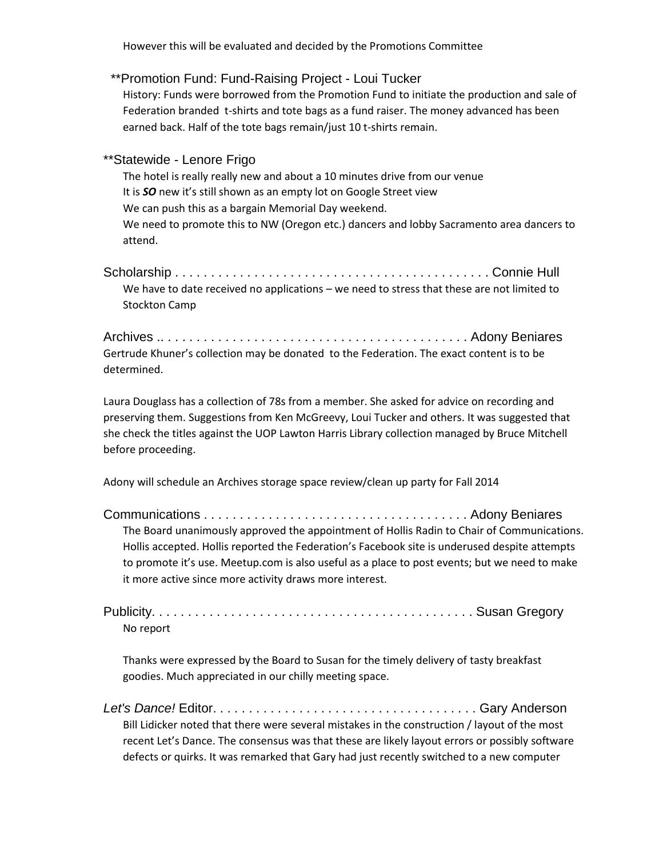However this will be evaluated and decided by the Promotions Committee

## \*\*Promotion Fund: Fund-Raising Project - Loui Tucker

History: Funds were borrowed from the Promotion Fund to initiate the production and sale of Federation branded t-shirts and tote bags as a fund raiser. The money advanced has been earned back. Half of the tote bags remain/just 10 t-shirts remain.

## \*\*Statewide - Lenore Frigo

The hotel is really really new and about a 10 minutes drive from our venue It is *SO* new it's still shown as an empty lot on Google Street view We can push this as a bargain Memorial Day weekend. We need to promote this to NW (Oregon etc.) dancers and lobby Sacramento area dancers to attend.

Scholarship . . . . . . . . . . . . . . . . . . . . . . . . . . . . . . . . . . . . . . . . . . . . Connie Hull We have to date received no applications – we need to stress that these are not limited to Stockton Camp

Archives .. . . . . . . . . . . . . . . . . . . . . . . . . . . . . . . . . . . . . . . . . . . Adony Beniares Gertrude Khuner's collection may be donated to the Federation. The exact content is to be determined.

Laura Douglass has a collection of 78s from a member. She asked for advice on recording and preserving them. Suggestions from Ken McGreevy, Loui Tucker and others. It was suggested that she check the titles against the UOP Lawton Harris Library collection managed by Bruce Mitchell before proceeding.

Adony will schedule an Archives storage space review/clean up party for Fall 2014

Communications . . . . . . . . . . . . . . . . . . . . . . . . . . . . . . . . . . . . . Adony Beniares The Board unanimously approved the appointment of Hollis Radin to Chair of Communications. Hollis accepted. Hollis reported the Federation's Facebook site is underused despite attempts to promote it's use. Meetup.com is also useful as a place to post events; but we need to make it more active since more activity draws more interest.

Publicity. . . . . . . . . . . . . . . . . . . . . . . . . . . . . . . . . . . . . . . . . . . . . Susan Gregory No report

Thanks were expressed by the Board to Susan for the timely delivery of tasty breakfast goodies. Much appreciated in our chilly meeting space.

*Let's Dance!* Editor. . . . . . . . . . . . . . . . . . . . . . . . . . . . . . . . . . . . . Gary Anderson Bill Lidicker noted that there were several mistakes in the construction / layout of the most recent Let's Dance. The consensus was that these are likely layout errors or possibly software defects or quirks. It was remarked that Gary had just recently switched to a new computer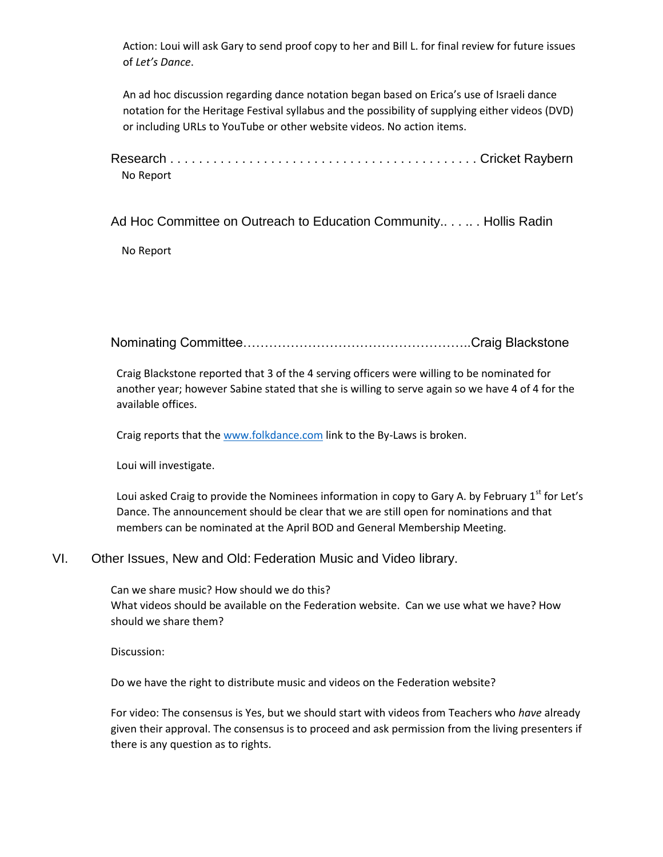Action: Loui will ask Gary to send proof copy to her and Bill L. for final review for future issues of *Let's Dance*.

An ad hoc discussion regarding dance notation began based on Erica's use of Israeli dance notation for the Heritage Festival syllabus and the possibility of supplying either videos (DVD) or including URLs to YouTube or other website videos. No action items.

Research . . . . . . . . . . . . . . . . . . . . . . . . . . . . . . . . . . . . . . . . . . . Cricket Raybern No Report

Ad Hoc Committee on Outreach to Education Community.. . . .. . Hollis Radin

No Report

Nominating Committee……………………………………………..Craig Blackstone

Craig Blackstone reported that 3 of the 4 serving officers were willing to be nominated for another year; however Sabine stated that she is willing to serve again so we have 4 of 4 for the available offices.

Craig reports that the [www.folkdance.com](http://www.folkdance.com/) link to the By-Laws is broken.

Loui will investigate.

Loui asked Craig to provide the Nominees information in copy to Gary A. by February 1<sup>st</sup> for Let's Dance. The announcement should be clear that we are still open for nominations and that members can be nominated at the April BOD and General Membership Meeting.

## VI. Other Issues, New and Old: Federation Music and Video library.

Can we share music? How should we do this? What videos should be available on the Federation website. Can we use what we have? How should we share them?

Discussion:

Do we have the right to distribute music and videos on the Federation website?

For video: The consensus is Yes, but we should start with videos from Teachers who *have* already given their approval. The consensus is to proceed and ask permission from the living presenters if there is any question as to rights.